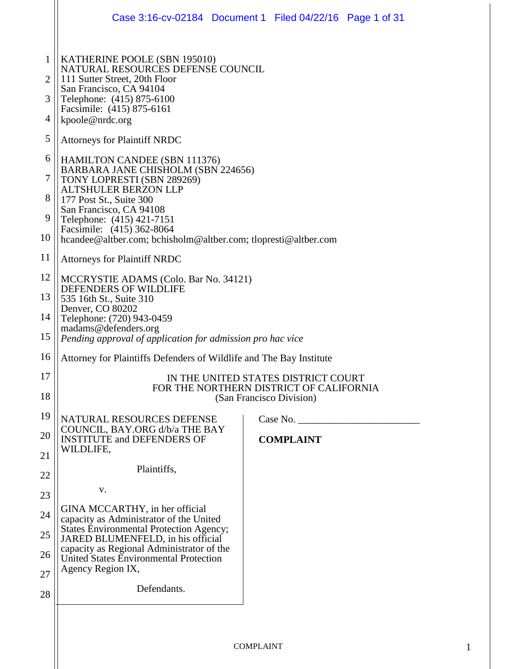|                                                                   | Case 3:16-cv-02184 Document 1 Filed 04/22/16 Page 1 of 31                                                                                                                                                                                                                                                                                                                                                                                         |  |                  |  |  |
|-------------------------------------------------------------------|---------------------------------------------------------------------------------------------------------------------------------------------------------------------------------------------------------------------------------------------------------------------------------------------------------------------------------------------------------------------------------------------------------------------------------------------------|--|------------------|--|--|
| $\mathbf{1}$<br>$\overline{2}$<br>3<br>4<br>5<br>6<br>7<br>8<br>9 | KATHERINE POOLE (SBN 195010)<br>NATURAL RESOURCES DEFENSE COUNCIL<br>111 Sutter Street, 20th Floor<br>San Francisco, CA 94104<br>Telephone: (415) 875-6100<br>Facsimile: (415) 875-6161<br>kpoole@nrdc.org<br><b>Attorneys for Plaintiff NRDC</b><br><b>HAMILTON CANDEE (SBN 111376)</b><br>BARBARA JANE CHISHOLM (SBN 224656)<br>TONY LOPRESTI (SBN 289269)<br><b>ALTSHULER BERZON LLP</b><br>177 Post St., Suite 300<br>San Francisco, CA 94108 |  |                  |  |  |
| 10                                                                | Telephone: (415) 421-7151<br>Facsimile: (415) 362-8064<br>hcandee@altber.com; bchisholm@altber.com; tlopresti@altber.com                                                                                                                                                                                                                                                                                                                          |  |                  |  |  |
| 11                                                                | <b>Attorneys for Plaintiff NRDC</b>                                                                                                                                                                                                                                                                                                                                                                                                               |  |                  |  |  |
| 12                                                                | MCCRYSTIE ADAMS (Colo. Bar No. 34121)<br>DEFENDERS OF WILDLIFE                                                                                                                                                                                                                                                                                                                                                                                    |  |                  |  |  |
| 13                                                                | 535 16th St., Suite 310<br>Denver, CO 80202                                                                                                                                                                                                                                                                                                                                                                                                       |  |                  |  |  |
| 14<br>15                                                          | Telephone: (720) 943-0459<br>madams@defenders.org<br>Pending approval of application for admission pro hac vice                                                                                                                                                                                                                                                                                                                                   |  |                  |  |  |
| 16                                                                | Attorney for Plaintiffs Defenders of Wildlife and The Bay Institute                                                                                                                                                                                                                                                                                                                                                                               |  |                  |  |  |
| 17                                                                | IN THE UNITED STATES DISTRICT COURT                                                                                                                                                                                                                                                                                                                                                                                                               |  |                  |  |  |
| 18                                                                | FOR THE NORTHERN DISTRICT OF CALIFORNIA<br>(San Francisco Division)                                                                                                                                                                                                                                                                                                                                                                               |  |                  |  |  |
| 19                                                                | NATURAL RESOURCES DEFENSE                                                                                                                                                                                                                                                                                                                                                                                                                         |  | Case No.         |  |  |
| 20                                                                | COUNCIL, BAY.ORG d/b/a THE BAY<br><b>INSTITUTE and DEFENDERS OF</b><br>WILDLIFE,                                                                                                                                                                                                                                                                                                                                                                  |  | <b>COMPLAINT</b> |  |  |
| 21                                                                | Plaintiffs,                                                                                                                                                                                                                                                                                                                                                                                                                                       |  |                  |  |  |
| 22                                                                |                                                                                                                                                                                                                                                                                                                                                                                                                                                   |  |                  |  |  |
| 23                                                                | v.<br>GINA MCCARTHY, in her official                                                                                                                                                                                                                                                                                                                                                                                                              |  |                  |  |  |
| 24                                                                | capacity as Administrator of the United<br><b>States Environmental Protection Agency;</b>                                                                                                                                                                                                                                                                                                                                                         |  |                  |  |  |
| 25                                                                | JARED BLUMENFELD, in his official<br>capacity as Regional Administrator of the                                                                                                                                                                                                                                                                                                                                                                    |  |                  |  |  |
| 26<br>27                                                          | United States Environmental Protection<br>Agency Region IX,                                                                                                                                                                                                                                                                                                                                                                                       |  |                  |  |  |
| 28                                                                | Defendants.                                                                                                                                                                                                                                                                                                                                                                                                                                       |  |                  |  |  |
|                                                                   |                                                                                                                                                                                                                                                                                                                                                                                                                                                   |  |                  |  |  |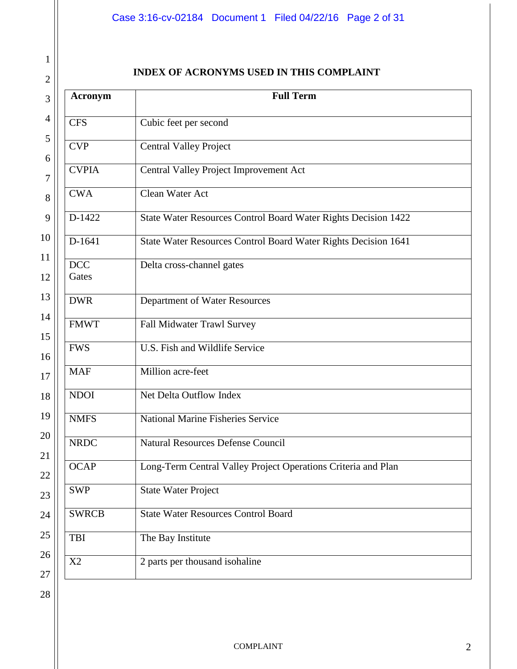# Case 3:16-cv-02184 Document 1 Filed 04/22/16 Page 2 of 31

# **INDEX OF ACRONYMS USED IN THIS COMPLAINT**

| <b>Acronym</b>      | <b>Full Term</b>                                               |
|---------------------|----------------------------------------------------------------|
| <b>CFS</b>          | Cubic feet per second                                          |
| <b>CVP</b>          | <b>Central Valley Project</b>                                  |
| <b>CVPIA</b>        | Central Valley Project Improvement Act                         |
| <b>CWA</b>          | Clean Water Act                                                |
| D-1422              | State Water Resources Control Board Water Rights Decision 1422 |
| D-1641              | State Water Resources Control Board Water Rights Decision 1641 |
| <b>DCC</b><br>Gates | Delta cross-channel gates                                      |
| <b>DWR</b>          | Department of Water Resources                                  |
| <b>FMWT</b>         | Fall Midwater Trawl Survey                                     |
| <b>FWS</b>          | U.S. Fish and Wildlife Service                                 |
| <b>MAF</b>          | Million acre-feet                                              |
| <b>NDOI</b>         | Net Delta Outflow Index                                        |
| <b>NMFS</b>         | <b>National Marine Fisheries Service</b>                       |
| <b>NRDC</b>         | <b>Natural Resources Defense Council</b>                       |
| <b>OCAP</b>         | Long-Term Central Valley Project Operations Criteria and Plan  |
| <b>SWP</b>          | State Water Project                                            |
| <b>SWRCB</b>        | <b>State Water Resources Control Board</b>                     |
| TBI                 | The Bay Institute                                              |
| X2                  | 2 parts per thousand isohaline                                 |

1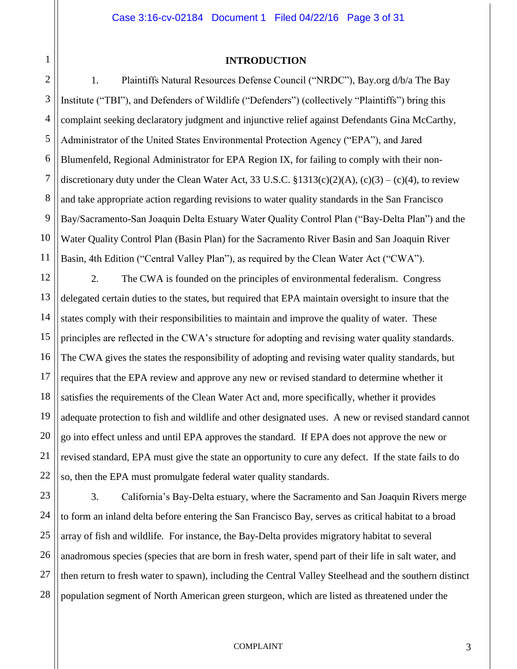## **INTRODUCTION**

1

2

3

4

5

7

8

9

10

11

6 1. Plaintiffs Natural Resources Defense Council ("NRDC"), Bay.org d/b/a The Bay Institute ("TBI"), and Defenders of Wildlife ("Defenders") (collectively "Plaintiffs") bring this complaint seeking declaratory judgment and injunctive relief against Defendants Gina McCarthy, Administrator of the United States Environmental Protection Agency ("EPA"), and Jared Blumenfeld, Regional Administrator for EPA Region IX, for failing to comply with their nondiscretionary duty under the Clean Water Act, 33 U.S.C.  $$1313(c)(2)(A), (c)(3) - (c)(4)$ , to review and take appropriate action regarding revisions to water quality standards in the San Francisco Bay/Sacramento-San Joaquin Delta Estuary Water Quality Control Plan ("Bay-Delta Plan") and the Water Quality Control Plan (Basin Plan) for the Sacramento River Basin and San Joaquin River Basin, 4th Edition ("Central Valley Plan"), as required by the Clean Water Act ("CWA").

12 13 14 15 16 17 18 19 20 21 22 2. The CWA is founded on the principles of environmental federalism. Congress delegated certain duties to the states, but required that EPA maintain oversight to insure that the states comply with their responsibilities to maintain and improve the quality of water. These principles are reflected in the CWA's structure for adopting and revising water quality standards. The CWA gives the states the responsibility of adopting and revising water quality standards, but requires that the EPA review and approve any new or revised standard to determine whether it satisfies the requirements of the Clean Water Act and, more specifically, whether it provides adequate protection to fish and wildlife and other designated uses. A new or revised standard cannot go into effect unless and until EPA approves the standard. If EPA does not approve the new or revised standard, EPA must give the state an opportunity to cure any defect. If the state fails to do so, then the EPA must promulgate federal water quality standards.

23 24 25 26 27 28 3. California's Bay-Delta estuary, where the Sacramento and San Joaquin Rivers merge to form an inland delta before entering the San Francisco Bay, serves as critical habitat to a broad array of fish and wildlife. For instance, the Bay-Delta provides migratory habitat to several anadromous species (species that are born in fresh water, spend part of their life in salt water, and then return to fresh water to spawn), including the Central Valley Steelhead and the southern distinct population segment of North American green sturgeon, which are listed as threatened under the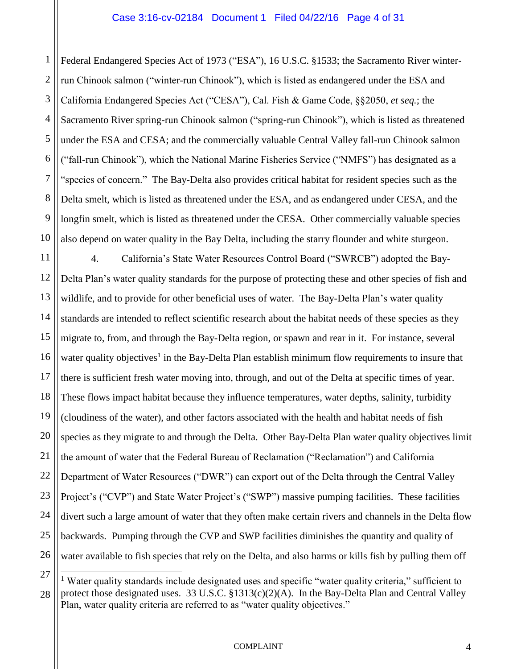1 2 3 4 5 6 7 8 9 10 Federal Endangered Species Act of 1973 ("ESA"), 16 U.S.C. §1533; the Sacramento River winterrun Chinook salmon ("winter-run Chinook"), which is listed as endangered under the ESA and California Endangered Species Act ("CESA"), Cal. Fish & Game Code, §§2050, *et seq.*; the Sacramento River spring-run Chinook salmon ("spring-run Chinook"), which is listed as threatened under the ESA and CESA; and the commercially valuable Central Valley fall-run Chinook salmon ("fall-run Chinook"), which the National Marine Fisheries Service ("NMFS") has designated as a "species of concern." The Bay-Delta also provides critical habitat for resident species such as the Delta smelt, which is listed as threatened under the ESA, and as endangered under CESA, and the longfin smelt, which is listed as threatened under the CESA. Other commercially valuable species also depend on water quality in the Bay Delta, including the starry flounder and white sturgeon.

11 12 13 14 15 16 17 18 19 20 21 22 23 24 25 26 4. California's State Water Resources Control Board ("SWRCB") adopted the Bay-Delta Plan's water quality standards for the purpose of protecting these and other species of fish and wildlife, and to provide for other beneficial uses of water. The Bay-Delta Plan's water quality standards are intended to reflect scientific research about the habitat needs of these species as they migrate to, from, and through the Bay-Delta region, or spawn and rear in it. For instance, several water quality objectives<sup>1</sup> in the Bay-Delta Plan establish minimum flow requirements to insure that there is sufficient fresh water moving into, through, and out of the Delta at specific times of year. These flows impact habitat because they influence temperatures, water depths, salinity, turbidity (cloudiness of the water), and other factors associated with the health and habitat needs of fish species as they migrate to and through the Delta. Other Bay-Delta Plan water quality objectives limit the amount of water that the Federal Bureau of Reclamation ("Reclamation") and California Department of Water Resources ("DWR") can export out of the Delta through the Central Valley Project's ("CVP") and State Water Project's ("SWP") massive pumping facilities. These facilities divert such a large amount of water that they often make certain rivers and channels in the Delta flow backwards. Pumping through the CVP and SWP facilities diminishes the quantity and quality of water available to fish species that rely on the Delta, and also harms or kills fish by pulling them off

27 28 <sup>1</sup> Water quality standards include designated uses and specific "water quality criteria," sufficient to protect those designated uses. 33 U.S.C. §1313(c)(2)(A). In the Bay-Delta Plan and Central Valley Plan, water quality criteria are referred to as "water quality objectives."

 $\overline{a}$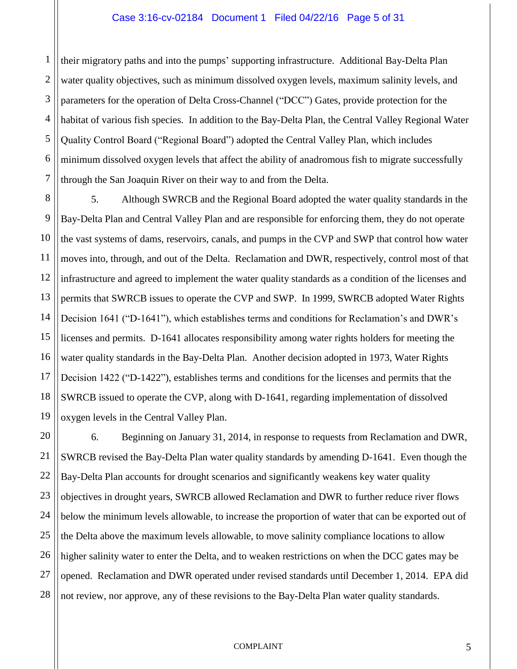1 2 3 4 5 6 7 their migratory paths and into the pumps' supporting infrastructure. Additional Bay-Delta Plan water quality objectives, such as minimum dissolved oxygen levels, maximum salinity levels, and parameters for the operation of Delta Cross-Channel ("DCC") Gates, provide protection for the habitat of various fish species. In addition to the Bay-Delta Plan, the Central Valley Regional Water Quality Control Board ("Regional Board") adopted the Central Valley Plan, which includes minimum dissolved oxygen levels that affect the ability of anadromous fish to migrate successfully through the San Joaquin River on their way to and from the Delta.

8 9 10 11 12 13 14 15 16 17 18 19 5. Although SWRCB and the Regional Board adopted the water quality standards in the Bay-Delta Plan and Central Valley Plan and are responsible for enforcing them, they do not operate the vast systems of dams, reservoirs, canals, and pumps in the CVP and SWP that control how water moves into, through, and out of the Delta. Reclamation and DWR, respectively, control most of that infrastructure and agreed to implement the water quality standards as a condition of the licenses and permits that SWRCB issues to operate the CVP and SWP. In 1999, SWRCB adopted Water Rights Decision 1641 ("D-1641"), which establishes terms and conditions for Reclamation's and DWR's licenses and permits. D-1641 allocates responsibility among water rights holders for meeting the water quality standards in the Bay-Delta Plan. Another decision adopted in 1973, Water Rights Decision 1422 ("D-1422"), establishes terms and conditions for the licenses and permits that the SWRCB issued to operate the CVP, along with D-1641, regarding implementation of dissolved oxygen levels in the Central Valley Plan.

20 21 22 23 24 25 26 27 28 6. Beginning on January 31, 2014, in response to requests from Reclamation and DWR, SWRCB revised the Bay-Delta Plan water quality standards by amending D-1641. Even though the Bay-Delta Plan accounts for drought scenarios and significantly weakens key water quality objectives in drought years, SWRCB allowed Reclamation and DWR to further reduce river flows below the minimum levels allowable, to increase the proportion of water that can be exported out of the Delta above the maximum levels allowable, to move salinity compliance locations to allow higher salinity water to enter the Delta, and to weaken restrictions on when the DCC gates may be opened. Reclamation and DWR operated under revised standards until December 1, 2014. EPA did not review, nor approve, any of these revisions to the Bay-Delta Plan water quality standards.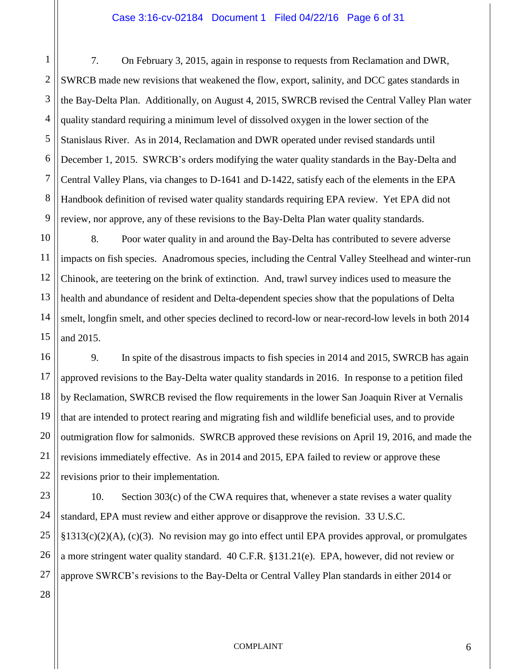## Case 3:16-cv-02184 Document 1 Filed 04/22/16 Page 6 of 31

4 6 7. On February 3, 2015, again in response to requests from Reclamation and DWR, SWRCB made new revisions that weakened the flow, export, salinity, and DCC gates standards in the Bay-Delta Plan. Additionally, on August 4, 2015, SWRCB revised the Central Valley Plan water quality standard requiring a minimum level of dissolved oxygen in the lower section of the Stanislaus River. As in 2014, Reclamation and DWR operated under revised standards until December 1, 2015. SWRCB's orders modifying the water quality standards in the Bay-Delta and Central Valley Plans, via changes to D-1641 and D-1422, satisfy each of the elements in the EPA Handbook definition of revised water quality standards requiring EPA review. Yet EPA did not review, nor approve, any of these revisions to the Bay-Delta Plan water quality standards.

8. Poor water quality in and around the Bay-Delta has contributed to severe adverse impacts on fish species. Anadromous species, including the Central Valley Steelhead and winter-run Chinook, are teetering on the brink of extinction. And, trawl survey indices used to measure the health and abundance of resident and Delta-dependent species show that the populations of Delta smelt, longfin smelt, and other species declined to record-low or near-record-low levels in both 2014 and 2015.

9. In spite of the disastrous impacts to fish species in 2014 and 2015, SWRCB has again approved revisions to the Bay-Delta water quality standards in 2016. In response to a petition filed by Reclamation, SWRCB revised the flow requirements in the lower San Joaquin River at Vernalis that are intended to protect rearing and migrating fish and wildlife beneficial uses, and to provide outmigration flow for salmonids. SWRCB approved these revisions on April 19, 2016, and made the revisions immediately effective. As in 2014 and 2015, EPA failed to review or approve these revisions prior to their implementation.

10. Section 303(c) of the CWA requires that, whenever a state revises a water quality standard, EPA must review and either approve or disapprove the revision. 33 U.S.C. §1313(c)(2)(A), (c)(3). No revision may go into effect until EPA provides approval, or promulgates a more stringent water quality standard. 40 C.F.R. §131.21(e). EPA, however, did not review or approve SWRCB's revisions to the Bay-Delta or Central Valley Plan standards in either 2014 or

1

2

3

5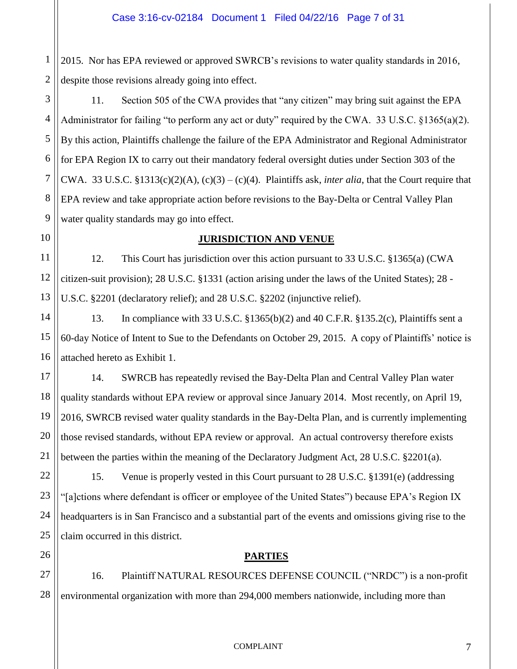1 2 2015. Nor has EPA reviewed or approved SWRCB's revisions to water quality standards in 2016, despite those revisions already going into effect.

3 4 5 6 7 8 9 11. Section 505 of the CWA provides that "any citizen" may bring suit against the EPA Administrator for failing "to perform any act or duty" required by the CWA. 33 U.S.C. §1365(a)(2). By this action, Plaintiffs challenge the failure of the EPA Administrator and Regional Administrator for EPA Region IX to carry out their mandatory federal oversight duties under Section 303 of the CWA. 33 U.S.C.  $$1313(c)(2)(A), (c)(3) - (c)(4)$ . Plaintiffs ask, *inter alia*, that the Court require that EPA review and take appropriate action before revisions to the Bay-Delta or Central Valley Plan water quality standards may go into effect.

# **JURISDICTION AND VENUE**

11 12 13 12. This Court has jurisdiction over this action pursuant to 33 U.S.C. §1365(a) (CWA citizen-suit provision); 28 U.S.C. §1331 (action arising under the laws of the United States); 28 - U.S.C. §2201 (declaratory relief); and 28 U.S.C. §2202 (injunctive relief).

14 15 16 13. In compliance with 33 U.S.C. §1365(b)(2) and 40 C.F.R. §135.2(c), Plaintiffs sent a 60-day Notice of Intent to Sue to the Defendants on October 29, 2015. A copy of Plaintiffs' notice is attached hereto as Exhibit 1.

14. SWRCB has repeatedly revised the Bay-Delta Plan and Central Valley Plan water quality standards without EPA review or approval since January 2014. Most recently, on April 19, 2016, SWRCB revised water quality standards in the Bay-Delta Plan, and is currently implementing those revised standards, without EPA review or approval. An actual controversy therefore exists between the parties within the meaning of the Declaratory Judgment Act, 28 U.S.C. §2201(a).

22 23 24 25 15. Venue is properly vested in this Court pursuant to 28 U.S.C. §1391(e) (addressing "[a]ctions where defendant is officer or employee of the United States") because EPA's Region IX headquarters is in San Francisco and a substantial part of the events and omissions giving rise to the claim occurred in this district.

26

10

17

18

19

20

21

# **PARTIES**

27 28 16. Plaintiff NATURAL RESOURCES DEFENSE COUNCIL ("NRDC") is a non-profit environmental organization with more than 294,000 members nationwide, including more than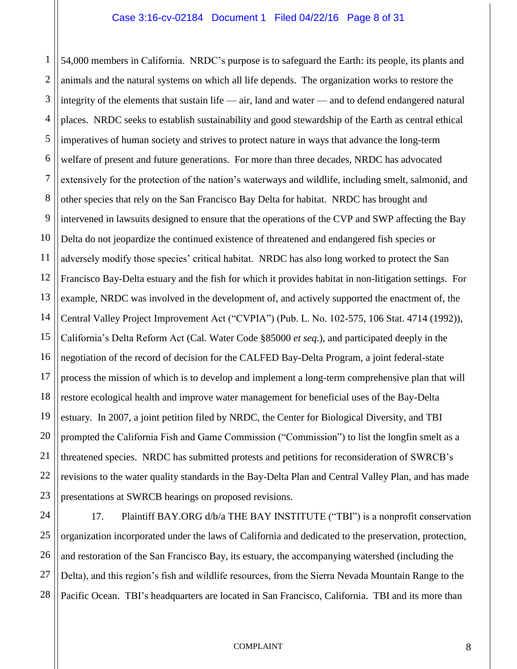1 2 3 4 5 6 7 8 9 10 11 12 13 14 15 16 17 18 19 20 21 22 23 54,000 members in California. NRDC's purpose is to safeguard the Earth: its people, its plants and animals and the natural systems on which all life depends. The organization works to restore the integrity of the elements that sustain life — air, land and water — and to defend endangered natural places. NRDC seeks to establish sustainability and good stewardship of the Earth as central ethical imperatives of human society and strives to protect nature in ways that advance the long-term welfare of present and future generations. For more than three decades, NRDC has advocated extensively for the protection of the nation's waterways and wildlife, including smelt, salmonid, and other species that rely on the San Francisco Bay Delta for habitat. NRDC has brought and intervened in lawsuits designed to ensure that the operations of the CVP and SWP affecting the Bay Delta do not jeopardize the continued existence of threatened and endangered fish species or adversely modify those species' critical habitat. NRDC has also long worked to protect the San Francisco Bay-Delta estuary and the fish for which it provides habitat in non-litigation settings. For example, NRDC was involved in the development of, and actively supported the enactment of, the Central Valley Project Improvement Act ("CVPIA") (Pub. L. No. 102-575, 106 Stat. 4714 (1992)), California's Delta Reform Act (Cal. Water Code §85000 *et seq.*), and participated deeply in the negotiation of the record of decision for the CALFED Bay-Delta Program, a joint federal-state process the mission of which is to develop and implement a long-term comprehensive plan that will restore ecological health and improve water management for beneficial uses of the Bay-Delta estuary*.* In 2007, a joint petition filed by NRDC, the Center for Biological Diversity, and TBI prompted the California Fish and Game Commission ("Commission") to list the longfin smelt as a threatened species. NRDC has submitted protests and petitions for reconsideration of SWRCB's revisions to the water quality standards in the Bay-Delta Plan and Central Valley Plan, and has made presentations at SWRCB hearings on proposed revisions.

24 25 26 27 28 17. Plaintiff BAY.ORG d/b/a THE BAY INSTITUTE ("TBI") is a nonprofit conservation organization incorporated under the laws of California and dedicated to the preservation, protection, and restoration of the San Francisco Bay, its estuary, the accompanying watershed (including the Delta), and this region's fish and wildlife resources, from the Sierra Nevada Mountain Range to the Pacific Ocean. TBI's headquarters are located in San Francisco, California. TBI and its more than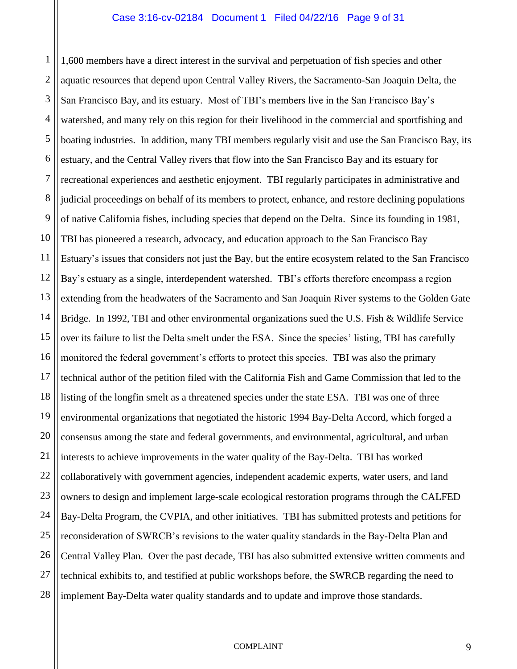1 2 3 4 5 6 7 8 9 10 11 12 13 14 15 16 17 18 19 20 21 22 23 24 25 26 27 28 1,600 members have a direct interest in the survival and perpetuation of fish species and other aquatic resources that depend upon Central Valley Rivers, the Sacramento-San Joaquin Delta, the San Francisco Bay, and its estuary. Most of TBI's members live in the San Francisco Bay's watershed, and many rely on this region for their livelihood in the commercial and sportfishing and boating industries. In addition, many TBI members regularly visit and use the San Francisco Bay, its estuary, and the Central Valley rivers that flow into the San Francisco Bay and its estuary for recreational experiences and aesthetic enjoyment. TBI regularly participates in administrative and judicial proceedings on behalf of its members to protect, enhance, and restore declining populations of native California fishes, including species that depend on the Delta. Since its founding in 1981, TBI has pioneered a research, advocacy, and education approach to the San Francisco Bay Estuary's issues that considers not just the Bay, but the entire ecosystem related to the San Francisco Bay's estuary as a single, interdependent watershed. TBI's efforts therefore encompass a region extending from the headwaters of the Sacramento and San Joaquin River systems to the Golden Gate Bridge. In 1992, TBI and other environmental organizations sued the U.S. Fish & Wildlife Service over its failure to list the Delta smelt under the ESA. Since the species' listing, TBI has carefully monitored the federal government's efforts to protect this species. TBI was also the primary technical author of the petition filed with the California Fish and Game Commission that led to the listing of the longfin smelt as a threatened species under the state ESA. TBI was one of three environmental organizations that negotiated the historic 1994 Bay-Delta Accord, which forged a consensus among the state and federal governments, and environmental, agricultural, and urban interests to achieve improvements in the water quality of the Bay-Delta. TBI has worked collaboratively with government agencies, independent academic experts, water users, and land owners to design and implement large-scale ecological restoration programs through the CALFED Bay-Delta Program, the CVPIA, and other initiatives. TBI has submitted protests and petitions for reconsideration of SWRCB's revisions to the water quality standards in the Bay-Delta Plan and Central Valley Plan. Over the past decade, TBI has also submitted extensive written comments and technical exhibits to, and testified at public workshops before, the SWRCB regarding the need to implement Bay-Delta water quality standards and to update and improve those standards.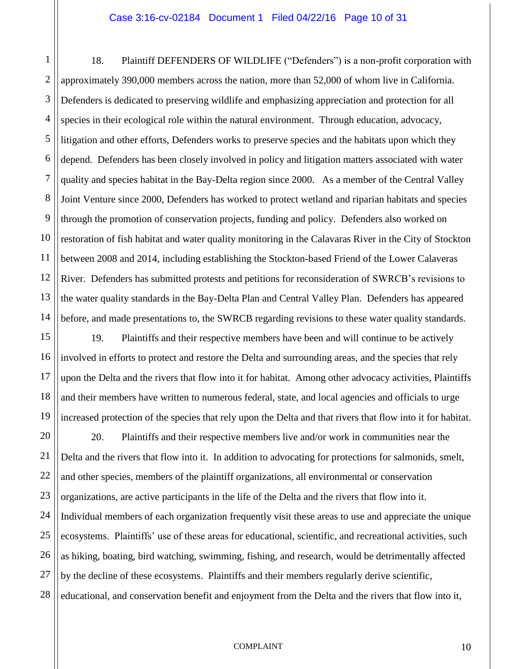1 2 3 4 5 6 7 8 9 10 11 12 13 14 18. Plaintiff DEFENDERS OF WILDLIFE ("Defenders") is a non-profit corporation with approximately 390,000 members across the nation, more than 52,000 of whom live in California. Defenders is dedicated to preserving wildlife and emphasizing appreciation and protection for all species in their ecological role within the natural environment. Through education, advocacy, litigation and other efforts, Defenders works to preserve species and the habitats upon which they depend. Defenders has been closely involved in policy and litigation matters associated with water quality and species habitat in the Bay-Delta region since 2000. As a member of the Central Valley Joint Venture since 2000, Defenders has worked to protect wetland and riparian habitats and species through the promotion of conservation projects, funding and policy. Defenders also worked on restoration of fish habitat and water quality monitoring in the Calavaras River in the City of Stockton between 2008 and 2014, including establishing the Stockton-based Friend of the Lower Calaveras River. Defenders has submitted protests and petitions for reconsideration of SWRCB's revisions to the water quality standards in the Bay-Delta Plan and Central Valley Plan. Defenders has appeared before, and made presentations to, the SWRCB regarding revisions to these water quality standards.

15 16 17 18 19 19. Plaintiffs and their respective members have been and will continue to be actively involved in efforts to protect and restore the Delta and surrounding areas, and the species that rely upon the Delta and the rivers that flow into it for habitat. Among other advocacy activities, Plaintiffs and their members have written to numerous federal, state, and local agencies and officials to urge increased protection of the species that rely upon the Delta and that rivers that flow into it for habitat.

20 21 22 23 24 25 26 27 28 20. Plaintiffs and their respective members live and/or work in communities near the Delta and the rivers that flow into it. In addition to advocating for protections for salmonids, smelt, and other species, members of the plaintiff organizations, all environmental or conservation organizations, are active participants in the life of the Delta and the rivers that flow into it. Individual members of each organization frequently visit these areas to use and appreciate the unique ecosystems. Plaintiffs' use of these areas for educational, scientific, and recreational activities, such as hiking, boating, bird watching, swimming, fishing, and research, would be detrimentally affected by the decline of these ecosystems. Plaintiffs and their members regularly derive scientific, educational, and conservation benefit and enjoyment from the Delta and the rivers that flow into it,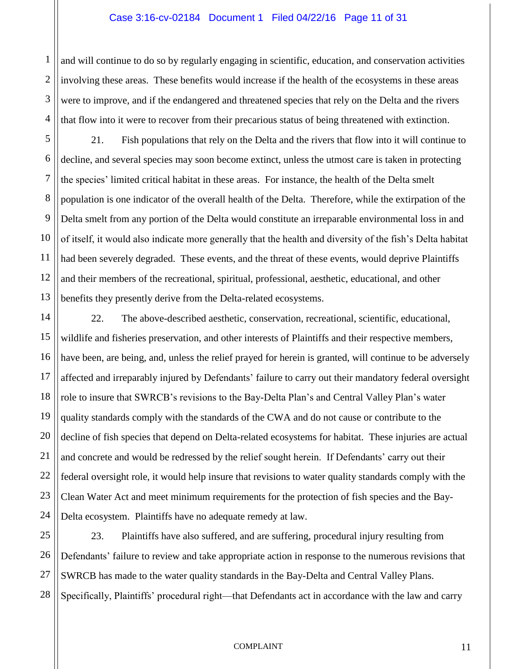## Case 3:16-cv-02184 Document 1 Filed 04/22/16 Page 11 of 31

2 3 4 and will continue to do so by regularly engaging in scientific, education, and conservation activities involving these areas. These benefits would increase if the health of the ecosystems in these areas were to improve, and if the endangered and threatened species that rely on the Delta and the rivers that flow into it were to recover from their precarious status of being threatened with extinction.

1

5 6 7 8 9 10 11 12 13 21. Fish populations that rely on the Delta and the rivers that flow into it will continue to decline, and several species may soon become extinct, unless the utmost care is taken in protecting the species' limited critical habitat in these areas. For instance, the health of the Delta smelt population is one indicator of the overall health of the Delta. Therefore, while the extirpation of the Delta smelt from any portion of the Delta would constitute an irreparable environmental loss in and of itself, it would also indicate more generally that the health and diversity of the fish's Delta habitat had been severely degraded. These events, and the threat of these events, would deprive Plaintiffs and their members of the recreational, spiritual, professional, aesthetic, educational, and other benefits they presently derive from the Delta-related ecosystems.

14 15 16 17 18 19 20 21 22 23 24 22. The above-described aesthetic, conservation, recreational, scientific, educational, wildlife and fisheries preservation, and other interests of Plaintiffs and their respective members, have been, are being, and, unless the relief prayed for herein is granted, will continue to be adversely affected and irreparably injured by Defendants' failure to carry out their mandatory federal oversight role to insure that SWRCB's revisions to the Bay-Delta Plan's and Central Valley Plan's water quality standards comply with the standards of the CWA and do not cause or contribute to the decline of fish species that depend on Delta-related ecosystems for habitat. These injuries are actual and concrete and would be redressed by the relief sought herein. If Defendants' carry out their federal oversight role, it would help insure that revisions to water quality standards comply with the Clean Water Act and meet minimum requirements for the protection of fish species and the Bay-Delta ecosystem. Plaintiffs have no adequate remedy at law.

25 26 27 28 23. Plaintiffs have also suffered, and are suffering, procedural injury resulting from Defendants' failure to review and take appropriate action in response to the numerous revisions that SWRCB has made to the water quality standards in the Bay-Delta and Central Valley Plans. Specifically, Plaintiffs' procedural right—that Defendants act in accordance with the law and carry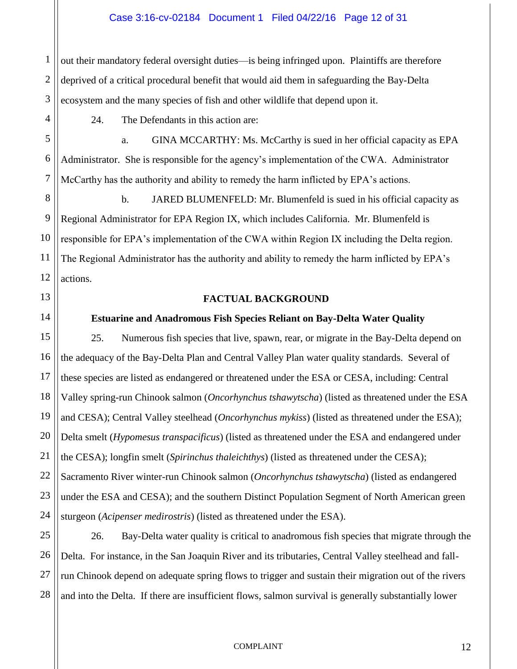# Case 3:16-cv-02184 Document 1 Filed 04/22/16 Page 12 of 31

3 out their mandatory federal oversight duties—is being infringed upon. Plaintiffs are therefore deprived of a critical procedural benefit that would aid them in safeguarding the Bay-Delta ecosystem and the many species of fish and other wildlife that depend upon it.

24. The Defendants in this action are:

a. GINA MCCARTHY: Ms. McCarthy is sued in her official capacity as EPA Administrator. She is responsible for the agency's implementation of the CWA. Administrator McCarthy has the authority and ability to remedy the harm inflicted by EPA's actions.

8 9 10 11 12 b. JARED BLUMENFELD: Mr. Blumenfeld is sued in his official capacity as Regional Administrator for EPA Region IX, which includes California. Mr. Blumenfeld is responsible for EPA's implementation of the CWA within Region IX including the Delta region. The Regional Administrator has the authority and ability to remedy the harm inflicted by EPA's actions.

## **FACTUAL BACKGROUND**

# **Estuarine and Anadromous Fish Species Reliant on Bay-Delta Water Quality**

1

2

4

5

6

7

13

14

15

16

17

18

19

20

21

22

23

24

# 25. Numerous fish species that live, spawn, rear, or migrate in the Bay-Delta depend on the adequacy of the Bay-Delta Plan and Central Valley Plan water quality standards. Several of these species are listed as endangered or threatened under the ESA or CESA, including: Central Valley spring-run Chinook salmon (*Oncorhynchus tshawytscha*) (listed as threatened under the ESA and CESA); Central Valley steelhead (*Oncorhynchus mykiss*) (listed as threatened under the ESA); Delta smelt (*Hypomesus transpacificus*) (listed as threatened under the ESA and endangered under the CESA); longfin smelt (*Spirinchus thaleichthys*) (listed as threatened under the CESA); Sacramento River winter-run Chinook salmon (*Oncorhynchus tshawytscha*) (listed as endangered under the ESA and CESA); and the southern Distinct Population Segment of North American green sturgeon (*Acipenser medirostris*) (listed as threatened under the ESA).

25 26 27 28 26. Bay-Delta water quality is critical to anadromous fish species that migrate through the Delta. For instance, in the San Joaquin River and its tributaries, Central Valley steelhead and fallrun Chinook depend on adequate spring flows to trigger and sustain their migration out of the rivers and into the Delta. If there are insufficient flows, salmon survival is generally substantially lower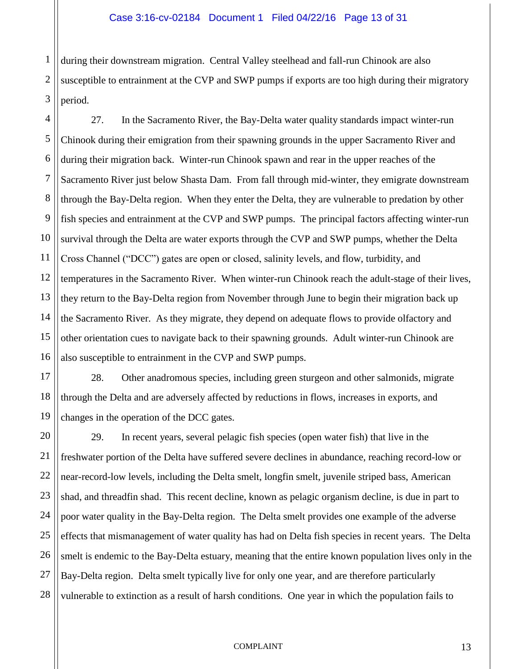during their downstream migration. Central Valley steelhead and fall-run Chinook are also susceptible to entrainment at the CVP and SWP pumps if exports are too high during their migratory period.

1

2

3

4 5 6 7 8 9 10 11 12 13 14 15 16 27. In the Sacramento River, the Bay-Delta water quality standards impact winter-run Chinook during their emigration from their spawning grounds in the upper Sacramento River and during their migration back. Winter-run Chinook spawn and rear in the upper reaches of the Sacramento River just below Shasta Dam. From fall through mid-winter, they emigrate downstream through the Bay-Delta region. When they enter the Delta, they are vulnerable to predation by other fish species and entrainment at the CVP and SWP pumps. The principal factors affecting winter-run survival through the Delta are water exports through the CVP and SWP pumps, whether the Delta Cross Channel ("DCC") gates are open or closed, salinity levels, and flow, turbidity, and temperatures in the Sacramento River. When winter-run Chinook reach the adult-stage of their lives, they return to the Bay-Delta region from November through June to begin their migration back up the Sacramento River. As they migrate, they depend on adequate flows to provide olfactory and other orientation cues to navigate back to their spawning grounds. Adult winter-run Chinook are also susceptible to entrainment in the CVP and SWP pumps.

17 18 19 28. Other anadromous species, including green sturgeon and other salmonids, migrate through the Delta and are adversely affected by reductions in flows, increases in exports, and changes in the operation of the DCC gates.

20 21 22 23 24 25 26 27 28 29. In recent years, several pelagic fish species (open water fish) that live in the freshwater portion of the Delta have suffered severe declines in abundance, reaching record-low or near-record-low levels, including the Delta smelt, longfin smelt, juvenile striped bass, American shad, and threadfin shad. This recent decline, known as pelagic organism decline, is due in part to poor water quality in the Bay-Delta region. The Delta smelt provides one example of the adverse effects that mismanagement of water quality has had on Delta fish species in recent years. The Delta smelt is endemic to the Bay-Delta estuary, meaning that the entire known population lives only in the Bay-Delta region. Delta smelt typically live for only one year, and are therefore particularly vulnerable to extinction as a result of harsh conditions. One year in which the population fails to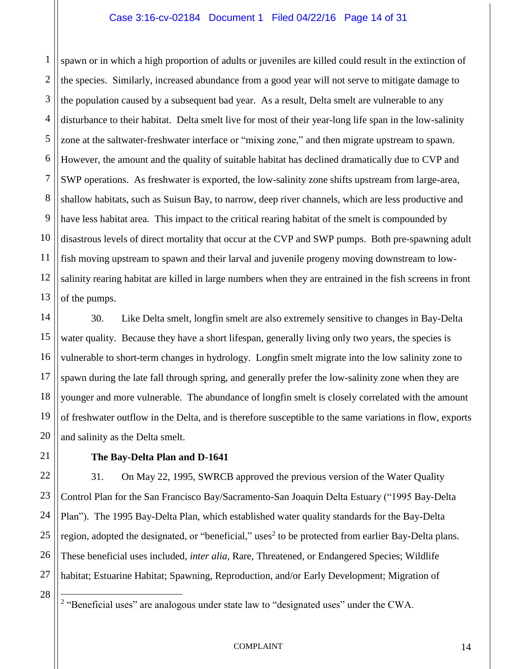## Case 3:16-cv-02184 Document 1 Filed 04/22/16 Page 14 of 31

1 2 3 4 5 6 7 8 9 10 11 12 13 spawn or in which a high proportion of adults or juveniles are killed could result in the extinction of the species. Similarly, increased abundance from a good year will not serve to mitigate damage to the population caused by a subsequent bad year. As a result, Delta smelt are vulnerable to any disturbance to their habitat. Delta smelt live for most of their year-long life span in the low-salinity zone at the saltwater-freshwater interface or "mixing zone," and then migrate upstream to spawn. However, the amount and the quality of suitable habitat has declined dramatically due to CVP and SWP operations. As freshwater is exported, the low-salinity zone shifts upstream from large-area, shallow habitats, such as Suisun Bay, to narrow, deep river channels, which are less productive and have less habitat area. This impact to the critical rearing habitat of the smelt is compounded by disastrous levels of direct mortality that occur at the CVP and SWP pumps. Both pre-spawning adult fish moving upstream to spawn and their larval and juvenile progeny moving downstream to lowsalinity rearing habitat are killed in large numbers when they are entrained in the fish screens in front of the pumps.

14 15 16 17 18 19 20 30. Like Delta smelt, longfin smelt are also extremely sensitive to changes in Bay-Delta water quality. Because they have a short lifespan, generally living only two years, the species is vulnerable to short-term changes in hydrology. Longfin smelt migrate into the low salinity zone to spawn during the late fall through spring, and generally prefer the low-salinity zone when they are younger and more vulnerable. The abundance of longfin smelt is closely correlated with the amount of freshwater outflow in the Delta, and is therefore susceptible to the same variations in flow, exports and salinity as the Delta smelt.

**The Bay-Delta Plan and D-1641**

31. On May 22, 1995, SWRCB approved the previous version of the Water Quality Control Plan for the San Francisco Bay/Sacramento-San Joaquin Delta Estuary ("1995 Bay-Delta Plan"). The 1995 Bay-Delta Plan, which established water quality standards for the Bay-Delta region, adopted the designated, or "beneficial," uses<sup>2</sup> to be protected from earlier Bay-Delta plans. These beneficial uses included, *inter alia*, Rare, Threatened, or Endangered Species; Wildlife habitat; Estuarine Habitat; Spawning, Reproduction, and/or Early Development; Migration of

28

 $\overline{a}$ 

21

22

23

24

25

26

27

<sup>&</sup>lt;sup>2</sup> "Beneficial uses" are analogous under state law to "designated uses" under the CWA.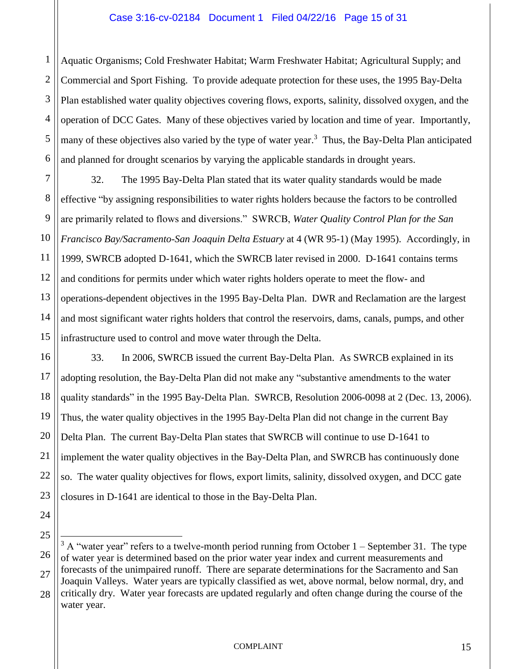# Case 3:16-cv-02184 Document 1 Filed 04/22/16 Page 15 of 31

1 2 3 4 5 6 Aquatic Organisms; Cold Freshwater Habitat; Warm Freshwater Habitat; Agricultural Supply; and Commercial and Sport Fishing. To provide adequate protection for these uses, the 1995 Bay-Delta Plan established water quality objectives covering flows, exports, salinity, dissolved oxygen, and the operation of DCC Gates. Many of these objectives varied by location and time of year. Importantly, many of these objectives also varied by the type of water year.<sup>3</sup> Thus, the Bay-Delta Plan anticipated and planned for drought scenarios by varying the applicable standards in drought years.

7 8 9 10 11 12 13 14 15 32. The 1995 Bay-Delta Plan stated that its water quality standards would be made effective "by assigning responsibilities to water rights holders because the factors to be controlled are primarily related to flows and diversions." SWRCB, *Water Quality Control Plan for the San Francisco Bay/Sacramento-San Joaquin Delta Estuary* at 4 (WR 95-1) (May 1995). Accordingly, in 1999, SWRCB adopted D-1641, which the SWRCB later revised in 2000. D-1641 contains terms and conditions for permits under which water rights holders operate to meet the flow- and operations-dependent objectives in the 1995 Bay-Delta Plan. DWR and Reclamation are the largest and most significant water rights holders that control the reservoirs, dams, canals, pumps, and other infrastructure used to control and move water through the Delta.

16 17 18 19 20 21 22 23 33. In 2006, SWRCB issued the current Bay-Delta Plan. As SWRCB explained in its adopting resolution, the Bay-Delta Plan did not make any "substantive amendments to the water quality standards" in the 1995 Bay-Delta Plan. SWRCB, Resolution 2006-0098 at 2 (Dec. 13, 2006). Thus, the water quality objectives in the 1995 Bay-Delta Plan did not change in the current Bay Delta Plan. The current Bay-Delta Plan states that SWRCB will continue to use D-1641 to implement the water quality objectives in the Bay-Delta Plan, and SWRCB has continuously done so. The water quality objectives for flows, export limits, salinity, dissolved oxygen, and DCC gate closures in D-1641 are identical to those in the Bay-Delta Plan.

- 24
- 25

 $\overline{a}$ 

<sup>26</sup> 27 28  $3$  A "water year" refers to a twelve-month period running from October 1 – September 31. The type of water year is determined based on the prior water year index and current measurements and forecasts of the unimpaired runoff. There are separate determinations for the Sacramento and San Joaquin Valleys. Water years are typically classified as wet, above normal, below normal, dry, and critically dry. Water year forecasts are updated regularly and often change during the course of the water year.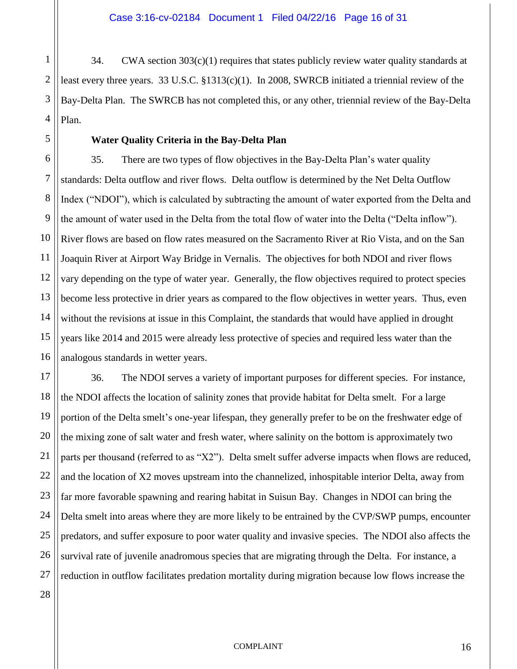1  $34.$  CWA section  $303(c)(1)$  requires that states publicly review water quality standards at least every three years. 33 U.S.C.  $\S 1313(c)(1)$ . In 2008, SWRCB initiated a triennial review of the Bay-Delta Plan. The SWRCB has not completed this, or any other, triennial review of the Bay-Delta Plan.

# **Water Quality Criteria in the Bay-Delta Plan**

35. There are two types of flow objectives in the Bay-Delta Plan's water quality standards: Delta outflow and river flows. Delta outflow is determined by the Net Delta Outflow Index ("NDOI"), which is calculated by subtracting the amount of water exported from the Delta and the amount of water used in the Delta from the total flow of water into the Delta ("Delta inflow"). River flows are based on flow rates measured on the Sacramento River at Rio Vista, and on the San Joaquin River at Airport Way Bridge in Vernalis. The objectives for both NDOI and river flows vary depending on the type of water year. Generally, the flow objectives required to protect species become less protective in drier years as compared to the flow objectives in wetter years. Thus, even without the revisions at issue in this Complaint, the standards that would have applied in drought years like 2014 and 2015 were already less protective of species and required less water than the analogous standards in wetter years.

36. The NDOI serves a variety of important purposes for different species. For instance, the NDOI affects the location of salinity zones that provide habitat for Delta smelt. For a large portion of the Delta smelt's one-year lifespan, they generally prefer to be on the freshwater edge of the mixing zone of salt water and fresh water, where salinity on the bottom is approximately two parts per thousand (referred to as "X2"). Delta smelt suffer adverse impacts when flows are reduced, and the location of X2 moves upstream into the channelized, inhospitable interior Delta, away from far more favorable spawning and rearing habitat in Suisun Bay. Changes in NDOI can bring the Delta smelt into areas where they are more likely to be entrained by the CVP/SWP pumps, encounter predators, and suffer exposure to poor water quality and invasive species. The NDOI also affects the survival rate of juvenile anadromous species that are migrating through the Delta. For instance, a reduction in outflow facilitates predation mortality during migration because low flows increase the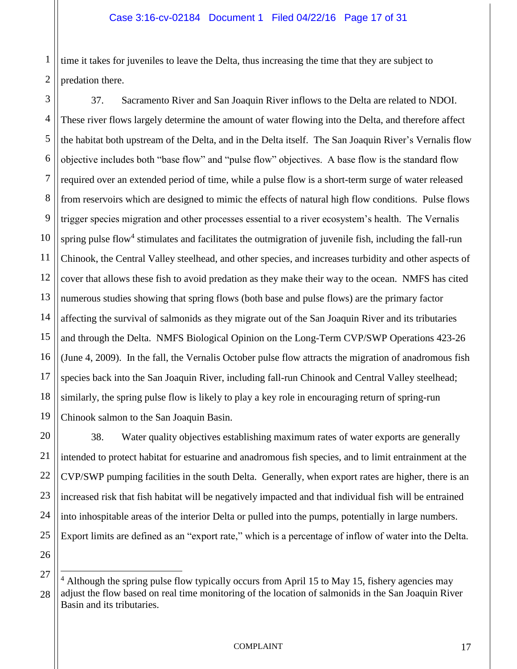1 2 time it takes for juveniles to leave the Delta, thus increasing the time that they are subject to predation there.

3 4 5 6 7 8 9 10 11 12 13 14 15 16 17 18 19 37. Sacramento River and San Joaquin River inflows to the Delta are related to NDOI. These river flows largely determine the amount of water flowing into the Delta, and therefore affect the habitat both upstream of the Delta, and in the Delta itself. The San Joaquin River's Vernalis flow objective includes both "base flow" and "pulse flow" objectives. A base flow is the standard flow required over an extended period of time, while a pulse flow is a short-term surge of water released from reservoirs which are designed to mimic the effects of natural high flow conditions. Pulse flows trigger species migration and other processes essential to a river ecosystem's health. The Vernalis spring pulse flow<sup>4</sup> stimulates and facilitates the outmigration of juvenile fish, including the fall-run Chinook, the Central Valley steelhead, and other species, and increases turbidity and other aspects of cover that allows these fish to avoid predation as they make their way to the ocean. NMFS has cited numerous studies showing that spring flows (both base and pulse flows) are the primary factor affecting the survival of salmonids as they migrate out of the San Joaquin River and its tributaries and through the Delta. NMFS Biological Opinion on the Long-Term CVP/SWP Operations 423-26 (June 4, 2009). In the fall, the Vernalis October pulse flow attracts the migration of anadromous fish species back into the San Joaquin River, including fall-run Chinook and Central Valley steelhead; similarly, the spring pulse flow is likely to play a key role in encouraging return of spring-run Chinook salmon to the San Joaquin Basin.

20 21 22 23 38. Water quality objectives establishing maximum rates of water exports are generally intended to protect habitat for estuarine and anadromous fish species, and to limit entrainment at the CVP/SWP pumping facilities in the south Delta. Generally, when export rates are higher, there is an increased risk that fish habitat will be negatively impacted and that individual fish will be entrained into inhospitable areas of the interior Delta or pulled into the pumps, potentially in large numbers. Export limits are defined as an "export rate," which is a percentage of inflow of water into the Delta.

 $\overline{a}$ 

<sup>28</sup>  $4$  Although the spring pulse flow typically occurs from April 15 to May 15, fishery agencies may adjust the flow based on real time monitoring of the location of salmonids in the San Joaquin River Basin and its tributaries.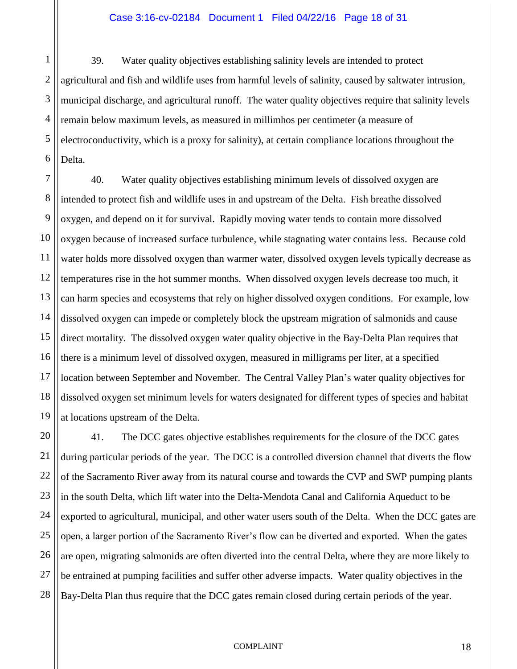## Case 3:16-cv-02184 Document 1 Filed 04/22/16 Page 18 of 31

1 2 3 4 5 6 39. Water quality objectives establishing salinity levels are intended to protect agricultural and fish and wildlife uses from harmful levels of salinity, caused by saltwater intrusion, municipal discharge, and agricultural runoff. The water quality objectives require that salinity levels remain below maximum levels, as measured in millimhos per centimeter (a measure of electroconductivity, which is a proxy for salinity), at certain compliance locations throughout the Delta.

7 8 9 10 11 12 13 14 15 16 17 18 19 40. Water quality objectives establishing minimum levels of dissolved oxygen are intended to protect fish and wildlife uses in and upstream of the Delta. Fish breathe dissolved oxygen, and depend on it for survival. Rapidly moving water tends to contain more dissolved oxygen because of increased surface turbulence, while stagnating water contains less. Because cold water holds more dissolved oxygen than warmer water, dissolved oxygen levels typically decrease as temperatures rise in the hot summer months. When dissolved oxygen levels decrease too much, it can harm species and ecosystems that rely on higher dissolved oxygen conditions. For example, low dissolved oxygen can impede or completely block the upstream migration of salmonids and cause direct mortality. The dissolved oxygen water quality objective in the Bay-Delta Plan requires that there is a minimum level of dissolved oxygen, measured in milligrams per liter, at a specified location between September and November. The Central Valley Plan's water quality objectives for dissolved oxygen set minimum levels for waters designated for different types of species and habitat at locations upstream of the Delta.

20 21 22 23 24 25 26 27 28 41. The DCC gates objective establishes requirements for the closure of the DCC gates during particular periods of the year. The DCC is a controlled diversion channel that diverts the flow of the Sacramento River away from its natural course and towards the CVP and SWP pumping plants in the south Delta, which lift water into the Delta-Mendota Canal and California Aqueduct to be exported to agricultural, municipal, and other water users south of the Delta. When the DCC gates are open, a larger portion of the Sacramento River's flow can be diverted and exported. When the gates are open, migrating salmonids are often diverted into the central Delta, where they are more likely to be entrained at pumping facilities and suffer other adverse impacts. Water quality objectives in the Bay-Delta Plan thus require that the DCC gates remain closed during certain periods of the year.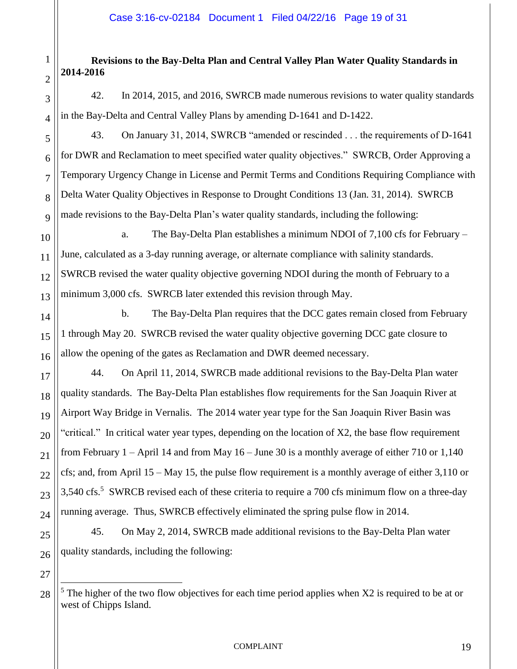# **Revisions to the Bay-Delta Plan and Central Valley Plan Water Quality Standards in 2014-2016**

1

2

3

4

5

6

7

8

9

14

15

16

17

18

19

20

21

22

23

24

25

26

27

42. In 2014, 2015, and 2016, SWRCB made numerous revisions to water quality standards in the Bay-Delta and Central Valley Plans by amending D-1641 and D-1422.

43. On January 31, 2014, SWRCB "amended or rescinded . . . the requirements of D-1641 for DWR and Reclamation to meet specified water quality objectives." SWRCB, Order Approving a Temporary Urgency Change in License and Permit Terms and Conditions Requiring Compliance with Delta Water Quality Objectives in Response to Drought Conditions 13 (Jan. 31, 2014). SWRCB made revisions to the Bay-Delta Plan's water quality standards, including the following:

10 11 12 13 a. The Bay-Delta Plan establishes a minimum NDOI of 7,100 cfs for February – June, calculated as a 3-day running average, or alternate compliance with salinity standards. SWRCB revised the water quality objective governing NDOI during the month of February to a minimum 3,000 cfs. SWRCB later extended this revision through May.

b. The Bay-Delta Plan requires that the DCC gates remain closed from February 1 through May 20. SWRCB revised the water quality objective governing DCC gate closure to allow the opening of the gates as Reclamation and DWR deemed necessary.

44. On April 11, 2014, SWRCB made additional revisions to the Bay-Delta Plan water quality standards. The Bay-Delta Plan establishes flow requirements for the San Joaquin River at Airport Way Bridge in Vernalis. The 2014 water year type for the San Joaquin River Basin was "critical." In critical water year types, depending on the location of X2, the base flow requirement from February 1 – April 14 and from May 16 – June 30 is a monthly average of either 710 or 1,140 cfs; and, from April 15 – May 15, the pulse flow requirement is a monthly average of either 3,110 or 3,540 cfs.<sup>5</sup> SWRCB revised each of these criteria to require a 700 cfs minimum flow on a three-day running average. Thus, SWRCB effectively eliminated the spring pulse flow in 2014.

45. On May 2, 2014, SWRCB made additional revisions to the Bay-Delta Plan water quality standards, including the following:

28  $\overline{a}$  $<sup>5</sup>$  The higher of the two flow objectives for each time period applies when X2 is required to be at or</sup> west of Chipps Island.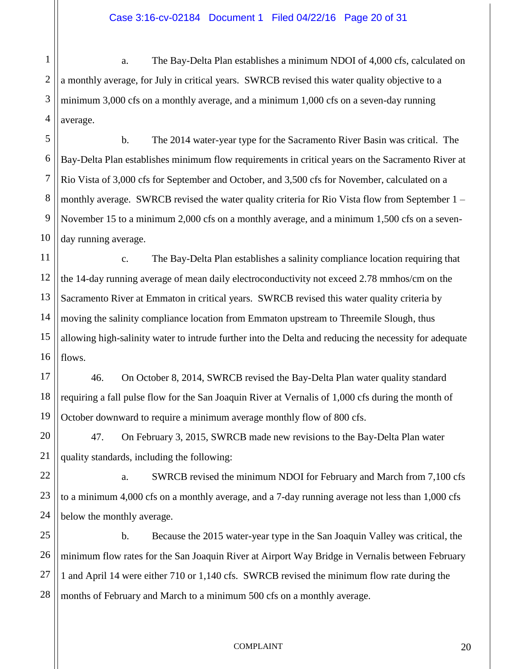1 2 3 4 a. The Bay-Delta Plan establishes a minimum NDOI of 4,000 cfs, calculated on a monthly average, for July in critical years. SWRCB revised this water quality objective to a minimum 3,000 cfs on a monthly average, and a minimum 1,000 cfs on a seven-day running average.

5 6 7 8 9 10 b. The 2014 water-year type for the Sacramento River Basin was critical. The Bay-Delta Plan establishes minimum flow requirements in critical years on the Sacramento River at Rio Vista of 3,000 cfs for September and October, and 3,500 cfs for November, calculated on a monthly average. SWRCB revised the water quality criteria for Rio Vista flow from September 1 – November 15 to a minimum 2,000 cfs on a monthly average, and a minimum 1,500 cfs on a sevenday running average.

11 12 13 14 15 16 c. The Bay-Delta Plan establishes a salinity compliance location requiring that the 14-day running average of mean daily electroconductivity not exceed 2.78 mmhos/cm on the Sacramento River at Emmaton in critical years. SWRCB revised this water quality criteria by moving the salinity compliance location from Emmaton upstream to Threemile Slough, thus allowing high-salinity water to intrude further into the Delta and reducing the necessity for adequate flows.

17 18 19 46. On October 8, 2014, SWRCB revised the Bay-Delta Plan water quality standard requiring a fall pulse flow for the San Joaquin River at Vernalis of 1,000 cfs during the month of October downward to require a minimum average monthly flow of 800 cfs.

20 21 47. On February 3, 2015, SWRCB made new revisions to the Bay-Delta Plan water quality standards, including the following:

22 23 24 a. SWRCB revised the minimum NDOI for February and March from 7,100 cfs to a minimum 4,000 cfs on a monthly average, and a 7-day running average not less than 1,000 cfs below the monthly average.

25 26 27 28 b. Because the 2015 water-year type in the San Joaquin Valley was critical, the minimum flow rates for the San Joaquin River at Airport Way Bridge in Vernalis between February 1 and April 14 were either 710 or 1,140 cfs. SWRCB revised the minimum flow rate during the months of February and March to a minimum 500 cfs on a monthly average.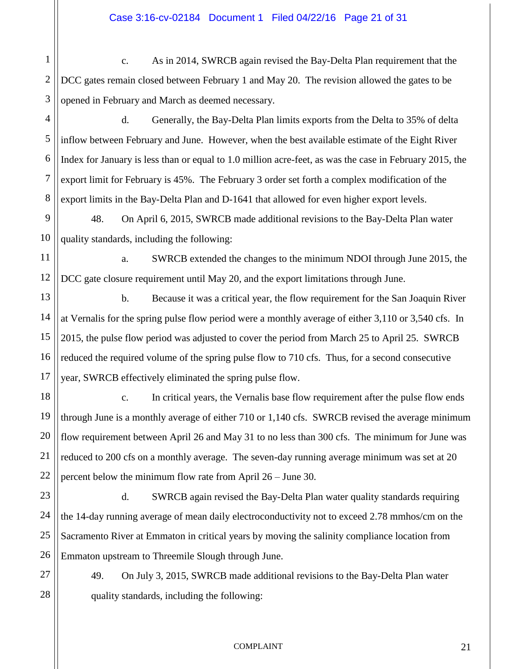2 c. As in 2014, SWRCB again revised the Bay-Delta Plan requirement that the DCC gates remain closed between February 1 and May 20. The revision allowed the gates to be opened in February and March as deemed necessary.

3 4

5

6

7

8

1

d. Generally, the Bay-Delta Plan limits exports from the Delta to 35% of delta inflow between February and June. However, when the best available estimate of the Eight River Index for January is less than or equal to 1.0 million acre-feet, as was the case in February 2015, the export limit for February is 45%. The February 3 order set forth a complex modification of the export limits in the Bay-Delta Plan and D-1641 that allowed for even higher export levels.

9 10 48. On April 6, 2015, SWRCB made additional revisions to the Bay-Delta Plan water quality standards, including the following:

11 12 a. SWRCB extended the changes to the minimum NDOI through June 2015, the DCC gate closure requirement until May 20, and the export limitations through June.

13 14 15 16 17 b. Because it was a critical year, the flow requirement for the San Joaquin River at Vernalis for the spring pulse flow period were a monthly average of either 3,110 or 3,540 cfs. In 2015, the pulse flow period was adjusted to cover the period from March 25 to April 25. SWRCB reduced the required volume of the spring pulse flow to 710 cfs. Thus, for a second consecutive year, SWRCB effectively eliminated the spring pulse flow.

18 19 20 21 22 c. In critical years, the Vernalis base flow requirement after the pulse flow ends through June is a monthly average of either 710 or 1,140 cfs. SWRCB revised the average minimum flow requirement between April 26 and May 31 to no less than 300 cfs. The minimum for June was reduced to 200 cfs on a monthly average. The seven-day running average minimum was set at 20 percent below the minimum flow rate from April 26 – June 30.

23 24 25 26 d. SWRCB again revised the Bay-Delta Plan water quality standards requiring the 14-day running average of mean daily electroconductivity not to exceed 2.78 mmhos/cm on the Sacramento River at Emmaton in critical years by moving the salinity compliance location from Emmaton upstream to Threemile Slough through June.

27 28

49. On July 3, 2015, SWRCB made additional revisions to the Bay-Delta Plan water quality standards, including the following: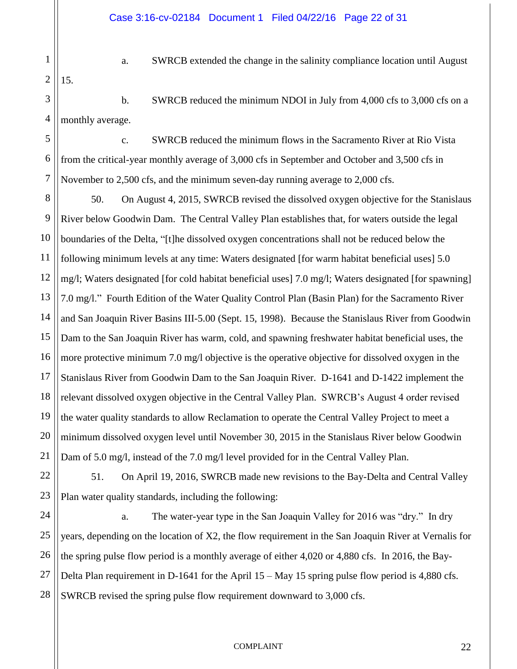1 2

15.

a. SWRCB extended the change in the salinity compliance location until August

3 4 b. SWRCB reduced the minimum NDOI in July from 4,000 cfs to 3,000 cfs on a monthly average.

5 6 7 c. SWRCB reduced the minimum flows in the Sacramento River at Rio Vista from the critical-year monthly average of 3,000 cfs in September and October and 3,500 cfs in November to 2,500 cfs, and the minimum seven-day running average to 2,000 cfs.

8 9 10 11 12 13 14 15 16 17 18 19 20 21 50. On August 4, 2015, SWRCB revised the dissolved oxygen objective for the Stanislaus River below Goodwin Dam. The Central Valley Plan establishes that, for waters outside the legal boundaries of the Delta, "[t]he dissolved oxygen concentrations shall not be reduced below the following minimum levels at any time: Waters designated [for warm habitat beneficial uses] 5.0 mg/l; Waters designated [for cold habitat beneficial uses] 7.0 mg/l; Waters designated [for spawning] 7.0 mg/l." Fourth Edition of the Water Quality Control Plan (Basin Plan) for the Sacramento River and San Joaquin River Basins III-5.00 (Sept. 15, 1998). Because the Stanislaus River from Goodwin Dam to the San Joaquin River has warm, cold, and spawning freshwater habitat beneficial uses, the more protective minimum 7.0 mg/l objective is the operative objective for dissolved oxygen in the Stanislaus River from Goodwin Dam to the San Joaquin River. D-1641 and D-1422 implement the relevant dissolved oxygen objective in the Central Valley Plan. SWRCB's August 4 order revised the water quality standards to allow Reclamation to operate the Central Valley Project to meet a minimum dissolved oxygen level until November 30, 2015 in the Stanislaus River below Goodwin Dam of 5.0 mg/l, instead of the 7.0 mg/l level provided for in the Central Valley Plan.

22 23 51. On April 19, 2016, SWRCB made new revisions to the Bay-Delta and Central Valley Plan water quality standards, including the following:

24 25 26 27 28 a. The water-year type in the San Joaquin Valley for 2016 was "dry." In dry years, depending on the location of X2, the flow requirement in the San Joaquin River at Vernalis for the spring pulse flow period is a monthly average of either 4,020 or 4,880 cfs. In 2016, the Bay-Delta Plan requirement in D-1641 for the April 15 – May 15 spring pulse flow period is 4,880 cfs. SWRCB revised the spring pulse flow requirement downward to 3,000 cfs.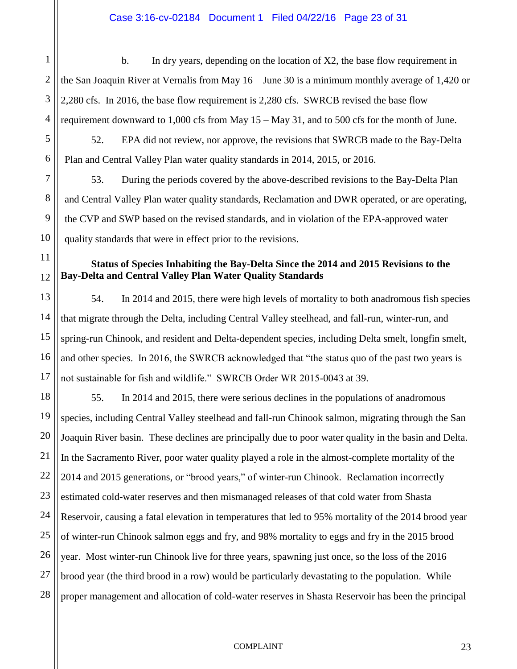b. In dry years, depending on the location of X2, the base flow requirement in the San Joaquin River at Vernalis from May 16 – June 30 is a minimum monthly average of 1,420 or 2,280 cfs. In 2016, the base flow requirement is 2,280 cfs. SWRCB revised the base flow requirement downward to 1,000 cfs from May 15 – May 31, and to 500 cfs for the month of June. 52. EPA did not review, nor approve, the revisions that SWRCB made to the Bay-Delta

Plan and Central Valley Plan water quality standards in 2014, 2015, or 2016.

1

2

3

4

5

6

7

8

9

10

11

12

13

14

15

16

17

53. During the periods covered by the above-described revisions to the Bay-Delta Plan and Central Valley Plan water quality standards, Reclamation and DWR operated, or are operating, the CVP and SWP based on the revised standards, and in violation of the EPA-approved water quality standards that were in effect prior to the revisions.

# **Status of Species Inhabiting the Bay-Delta Since the 2014 and 2015 Revisions to the Bay-Delta and Central Valley Plan Water Quality Standards**

54. In 2014 and 2015, there were high levels of mortality to both anadromous fish species that migrate through the Delta, including Central Valley steelhead, and fall-run, winter-run, and spring-run Chinook, and resident and Delta-dependent species, including Delta smelt, longfin smelt, and other species. In 2016, the SWRCB acknowledged that "the status quo of the past two years is not sustainable for fish and wildlife." SWRCB Order WR 2015-0043 at 39.

18 19 20 21 22 23 24 25 26 27 28 55. In 2014 and 2015, there were serious declines in the populations of anadromous species, including Central Valley steelhead and fall-run Chinook salmon, migrating through the San Joaquin River basin. These declines are principally due to poor water quality in the basin and Delta. In the Sacramento River, poor water quality played a role in the almost-complete mortality of the 2014 and 2015 generations, or "brood years," of winter-run Chinook. Reclamation incorrectly estimated cold-water reserves and then mismanaged releases of that cold water from Shasta Reservoir, causing a fatal elevation in temperatures that led to 95% mortality of the 2014 brood year of winter-run Chinook salmon eggs and fry, and 98% mortality to eggs and fry in the 2015 brood year. Most winter-run Chinook live for three years, spawning just once, so the loss of the 2016 brood year (the third brood in a row) would be particularly devastating to the population. While proper management and allocation of cold-water reserves in Shasta Reservoir has been the principal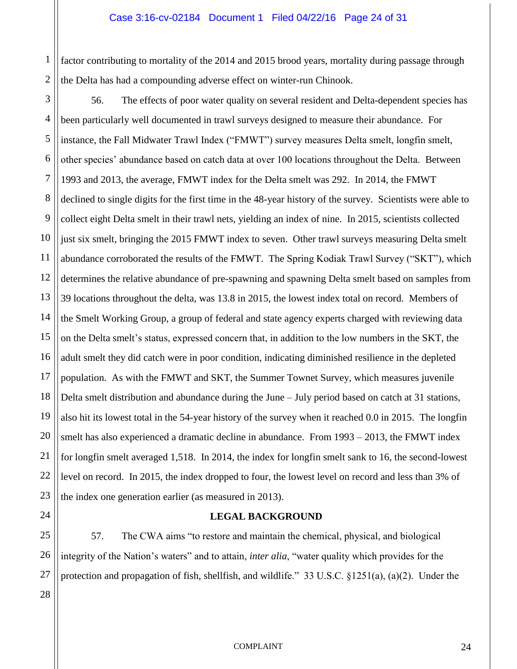1 2 factor contributing to mortality of the 2014 and 2015 brood years, mortality during passage through the Delta has had a compounding adverse effect on winter-run Chinook.

3 4 5 6 7 8 9 10 11 12 13 14 15 16 17 18 19 20 21 22 23 56. The effects of poor water quality on several resident and Delta-dependent species has been particularly well documented in trawl surveys designed to measure their abundance. For instance, the Fall Midwater Trawl Index ("FMWT") survey measures Delta smelt, longfin smelt, other species' abundance based on catch data at over 100 locations throughout the Delta. Between 1993 and 2013, the average, FMWT index for the Delta smelt was 292. In 2014, the FMWT declined to single digits for the first time in the 48-year history of the survey. Scientists were able to collect eight Delta smelt in their trawl nets, yielding an index of nine. In 2015, scientists collected just six smelt, bringing the 2015 FMWT index to seven. Other trawl surveys measuring Delta smelt abundance corroborated the results of the FMWT. The Spring Kodiak Trawl Survey ("SKT"), which determines the relative abundance of pre-spawning and spawning Delta smelt based on samples from 39 locations throughout the delta, was 13.8 in 2015, the lowest index total on record. Members of the Smelt Working Group, a group of federal and state agency experts charged with reviewing data on the Delta smelt's status, expressed concern that, in addition to the low numbers in the SKT, the adult smelt they did catch were in poor condition, indicating diminished resilience in the depleted population. As with the FMWT and SKT, the Summer Townet Survey, which measures juvenile Delta smelt distribution and abundance during the June – July period based on catch at 31 stations, also hit its lowest total in the 54-year history of the survey when it reached 0.0 in 2015. The longfin smelt has also experienced a dramatic decline in abundance. From 1993 – 2013, the FMWT index for longfin smelt averaged 1,518. In 2014, the index for longfin smelt sank to 16, the second-lowest level on record. In 2015, the index dropped to four, the lowest level on record and less than 3% of the index one generation earlier (as measured in 2013).

# **LEGAL BACKGROUND**

57. The CWA aims "to restore and maintain the chemical, physical, and biological integrity of the Nation's waters" and to attain, *inter alia*, "water quality which provides for the protection and propagation of fish, shellfish, and wildlife." 33 U.S.C. §1251(a), (a)(2). Under the

24

25

26

27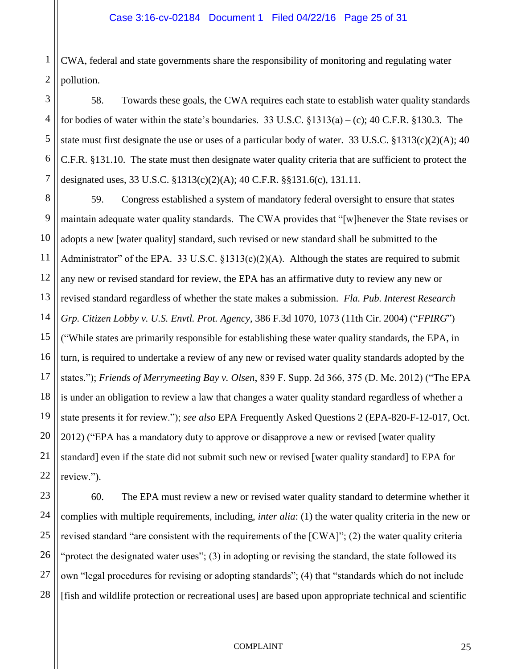1 2 CWA, federal and state governments share the responsibility of monitoring and regulating water pollution.

3 4 5 6 7 58. Towards these goals, the CWA requires each state to establish water quality standards for bodies of water within the state's boundaries. 33 U.S.C.  $\S$ 1313(a) – (c); 40 C.F.R.  $\S$ 130.3. The state must first designate the use or uses of a particular body of water. 33 U.S.C.  $\S 1313(c)(2)(A)$ ; 40 C.F.R. §131.10. The state must then designate water quality criteria that are sufficient to protect the designated uses, 33 U.S.C. §1313(c)(2)(A); 40 C.F.R. §§131.6(c), 131.11.

8 9 10 11 12 13 14 15 16 17 18 19 20 21 22 59. Congress established a system of mandatory federal oversight to ensure that states maintain adequate water quality standards. The CWA provides that "[w]henever the State revises or adopts a new [water quality] standard, such revised or new standard shall be submitted to the Administrator" of the EPA. 33 U.S.C.  $\S$ 1313(c)(2)(A). Although the states are required to submit any new or revised standard for review, the EPA has an affirmative duty to review any new or revised standard regardless of whether the state makes a submission. *Fla. Pub. Interest Research Grp. Citizen Lobby v. U.S. Envtl. Prot. Agency*, 386 F.3d 1070, 1073 (11th Cir. 2004) ("*FPIRG*") ("While states are primarily responsible for establishing these water quality standards, the EPA, in turn, is required to undertake a review of any new or revised water quality standards adopted by the states."); *Friends of Merrymeeting Bay v. Olsen*, 839 F. Supp. 2d 366, 375 (D. Me. 2012) ("The EPA is under an obligation to review a law that changes a water quality standard regardless of whether a state presents it for review."); *see also* EPA Frequently Asked Questions 2 (EPA-820-F-12-017, Oct. 2012) ("EPA has a mandatory duty to approve or disapprove a new or revised [water quality standard] even if the state did not submit such new or revised [water quality standard] to EPA for review.").

23 24 25 26 27 28 60. The EPA must review a new or revised water quality standard to determine whether it complies with multiple requirements, including, *inter alia*: (1) the water quality criteria in the new or revised standard "are consistent with the requirements of the [CWA]"; (2) the water quality criteria "protect the designated water uses"; (3) in adopting or revising the standard, the state followed its own "legal procedures for revising or adopting standards"; (4) that "standards which do not include [fish and wildlife protection or recreational uses] are based upon appropriate technical and scientific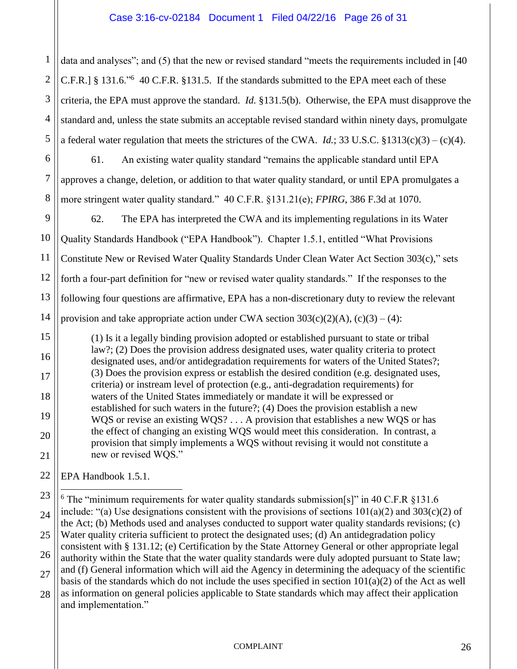1 2 3 4 5 data and analyses"; and (5) that the new or revised standard "meets the requirements included in [40] C.F.R.] § 131.6."<sup>6</sup> 40 C.F.R. §131.5. If the standards submitted to the EPA meet each of these criteria, the EPA must approve the standard. *Id.* §131.5(b). Otherwise, the EPA must disapprove the standard and, unless the state submits an acceptable revised standard within ninety days, promulgate a federal water regulation that meets the strictures of the CWA. *Id.*; 33 U.S.C. §1313(c)(3) – (c)(4).

6 61. An existing water quality standard "remains the applicable standard until EPA approves a change, deletion, or addition to that water quality standard, or until EPA promulgates a more stringent water quality standard." 40 C.F.R. §131.21(e); *FPIRG*, 386 F.3d at 1070.

9 10 11 12 13 14 62. The EPA has interpreted the CWA and its implementing regulations in its Water Quality Standards Handbook ("EPA Handbook"). Chapter 1.5.1, entitled "What Provisions Constitute New or Revised Water Quality Standards Under Clean Water Act Section 303(c)," sets forth a four-part definition for "new or revised water quality standards." If the responses to the following four questions are affirmative, EPA has a non-discretionary duty to review the relevant provision and take appropriate action under CWA section  $303(c)(2)(A)$ ,  $(c)(3) - (4)$ :

(1) Is it a legally binding provision adopted or established pursuant to state or tribal law?; (2) Does the provision address designated uses, water quality criteria to protect designated uses, and/or antidegradation requirements for waters of the United States?; (3) Does the provision express or establish the desired condition (e.g. designated uses, criteria) or instream level of protection (e.g., anti-degradation requirements) for waters of the United States immediately or mandate it will be expressed or established for such waters in the future?; (4) Does the provision establish a new WQS or revise an existing WQS? . . . A provision that establishes a new WQS or has the effect of changing an existing WQS would meet this consideration. In contrast, a provision that simply implements a WQS without revising it would not constitute a new or revised WQS."

EPA Handbook 1.5.1.

7

8

15

16

17

18

19

20

21

22

23 24 25 26 27 28  $\overline{a}$  $6$  The "minimum requirements for water quality standards submission[s]" in 40 C.F.R §131.6 include: "(a) Use designations consistent with the provisions of sections  $101(a)(2)$  and  $303(c)(2)$  of the Act; (b) Methods used and analyses conducted to support water quality standards revisions; (c) Water quality criteria sufficient to protect the designated uses; (d) An antidegradation policy consistent with § 131.12; (e) Certification by the State Attorney General or other appropriate legal authority within the State that the water quality standards were duly adopted pursuant to State law; and (f) General information which will aid the Agency in determining the adequacy of the scientific basis of the standards which do not include the uses specified in section  $101(a)(2)$  of the Act as well as information on general policies applicable to State standards which may affect their application and implementation."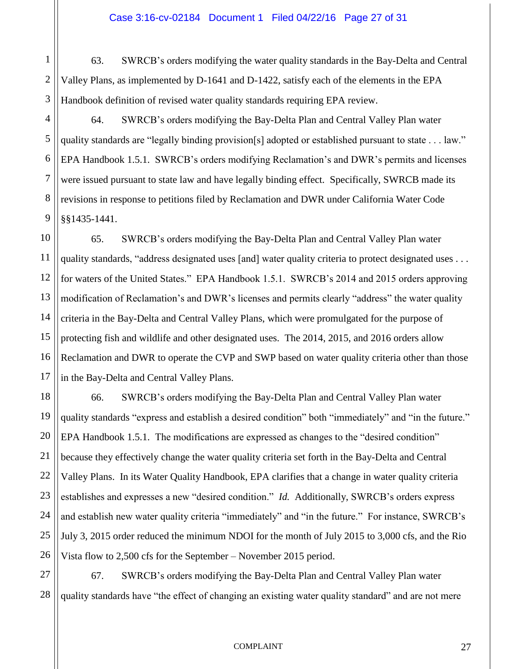63. SWRCB's orders modifying the water quality standards in the Bay-Delta and Central Valley Plans, as implemented by D-1641 and D-1422, satisfy each of the elements in the EPA Handbook definition of revised water quality standards requiring EPA review.

64. SWRCB's orders modifying the Bay-Delta Plan and Central Valley Plan water quality standards are "legally binding provision[s] adopted or established pursuant to state . . . law." EPA Handbook 1.5.1. SWRCB's orders modifying Reclamation's and DWR's permits and licenses were issued pursuant to state law and have legally binding effect. Specifically, SWRCB made its revisions in response to petitions filed by Reclamation and DWR under California Water Code §§1435-1441.

65. SWRCB's orders modifying the Bay-Delta Plan and Central Valley Plan water quality standards, "address designated uses [and] water quality criteria to protect designated uses . . . for waters of the United States." EPA Handbook 1.5.1. SWRCB's 2014 and 2015 orders approving modification of Reclamation's and DWR's licenses and permits clearly "address" the water quality criteria in the Bay-Delta and Central Valley Plans, which were promulgated for the purpose of protecting fish and wildlife and other designated uses. The 2014, 2015, and 2016 orders allow Reclamation and DWR to operate the CVP and SWP based on water quality criteria other than those in the Bay-Delta and Central Valley Plans.

66. SWRCB's orders modifying the Bay-Delta Plan and Central Valley Plan water quality standards "express and establish a desired condition" both "immediately" and "in the future." EPA Handbook 1.5.1. The modifications are expressed as changes to the "desired condition" because they effectively change the water quality criteria set forth in the Bay-Delta and Central Valley Plans. In its Water Quality Handbook, EPA clarifies that a change in water quality criteria establishes and expresses a new "desired condition." *Id.* Additionally, SWRCB's orders express and establish new water quality criteria "immediately" and "in the future." For instance, SWRCB's July 3, 2015 order reduced the minimum NDOI for the month of July 2015 to 3,000 cfs, and the Rio Vista flow to 2,500 cfs for the September – November 2015 period.

67. SWRCB's orders modifying the Bay-Delta Plan and Central Valley Plan water quality standards have "the effect of changing an existing water quality standard" and are not mere

1

2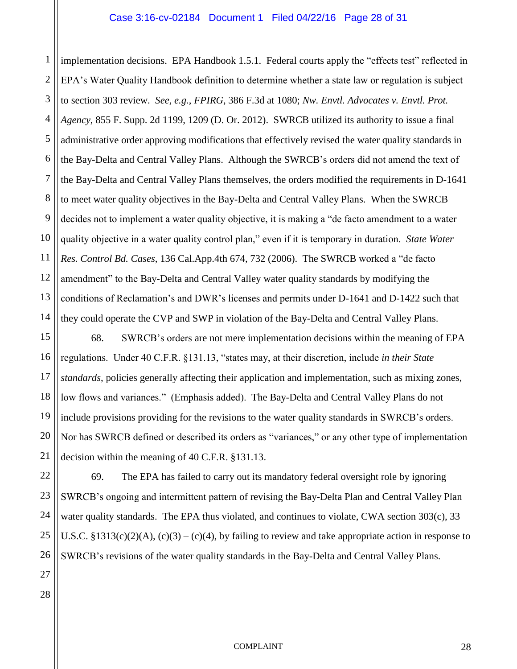#### Case 3:16-cv-02184 Document 1 Filed 04/22/16 Page 28 of 31

1 2 3 4 5 implementation decisions. EPA Handbook 1.5.1. Federal courts apply the "effects test" reflected in EPA's Water Quality Handbook definition to determine whether a state law or regulation is subject to section 303 review. *See, e.g.*, *FPIRG*, 386 F.3d at 1080; *Nw. Envtl. Advocates v. Envtl. Prot. Agency*, 855 F. Supp. 2d 1199, 1209 (D. Or. 2012). SWRCB utilized its authority to issue a final administrative order approving modifications that effectively revised the water quality standards in the Bay-Delta and Central Valley Plans. Although the SWRCB's orders did not amend the text of the Bay-Delta and Central Valley Plans themselves, the orders modified the requirements in D-1641 to meet water quality objectives in the Bay-Delta and Central Valley Plans. When the SWRCB decides not to implement a water quality objective, it is making a "de facto amendment to a water quality objective in a water quality control plan," even if it is temporary in duration. *State Water Res. Control Bd. Cases*, 136 Cal.App.4th 674, 732 (2006). The SWRCB worked a "de facto amendment" to the Bay-Delta and Central Valley water quality standards by modifying the conditions of Reclamation's and DWR's licenses and permits under D-1641 and D-1422 such that they could operate the CVP and SWP in violation of the Bay-Delta and Central Valley Plans.

68. SWRCB's orders are not mere implementation decisions within the meaning of EPA regulations. Under 40 C.F.R. §131.13, "states may, at their discretion, include *in their State standards*, policies generally affecting their application and implementation, such as mixing zones, low flows and variances." (Emphasis added). The Bay-Delta and Central Valley Plans do not include provisions providing for the revisions to the water quality standards in SWRCB's orders. Nor has SWRCB defined or described its orders as "variances," or any other type of implementation decision within the meaning of 40 C.F.R. §131.13.

69. The EPA has failed to carry out its mandatory federal oversight role by ignoring SWRCB's ongoing and intermittent pattern of revising the Bay-Delta Plan and Central Valley Plan water quality standards. The EPA thus violated, and continues to violate, CWA section 303(c), 33 U.S.C. §1313(c)(2)(A), (c)(3) – (c)(4), by failing to review and take appropriate action in response to SWRCB's revisions of the water quality standards in the Bay-Delta and Central Valley Plans.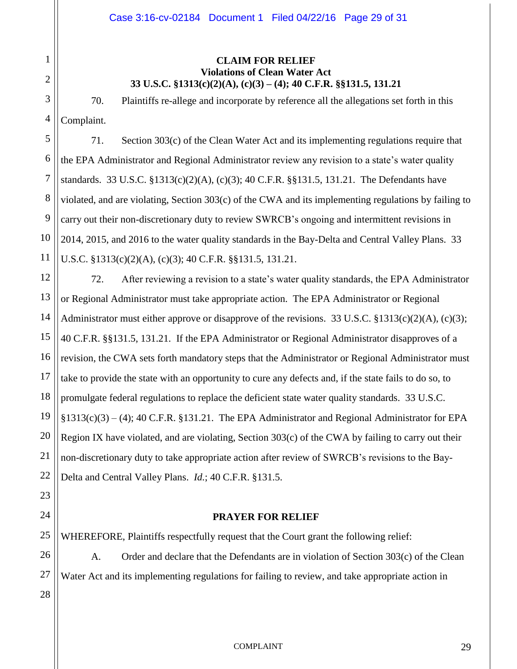# 1 2 3 4 5 6 7 8 9 10 11 12 13 14 15 16 17 18 19 20 21 22

# **CLAIM FOR RELIEF Violations of Clean Water Act 33 U.S.C. §1313(c)(2)(A), (c)(3) – (4); 40 C.F.R. §§131.5, 131.21**

70. Plaintiffs re-allege and incorporate by reference all the allegations set forth in this Complaint.

71. Section 303(c) of the Clean Water Act and its implementing regulations require that the EPA Administrator and Regional Administrator review any revision to a state's water quality standards. 33 U.S.C. §1313(c)(2)(A), (c)(3); 40 C.F.R. §§131.5, 131.21. The Defendants have violated, and are violating, Section 303(c) of the CWA and its implementing regulations by failing to carry out their non-discretionary duty to review SWRCB's ongoing and intermittent revisions in 2014, 2015, and 2016 to the water quality standards in the Bay-Delta and Central Valley Plans. 33 U.S.C. §1313(c)(2)(A), (c)(3); 40 C.F.R. §§131.5, 131.21.

72. After reviewing a revision to a state's water quality standards, the EPA Administrator or Regional Administrator must take appropriate action. The EPA Administrator or Regional Administrator must either approve or disapprove of the revisions. 33 U.S.C. §1313(c)(2)(A), (c)(3); 40 C.F.R. §§131.5, 131.21. If the EPA Administrator or Regional Administrator disapproves of a revision, the CWA sets forth mandatory steps that the Administrator or Regional Administrator must take to provide the state with an opportunity to cure any defects and, if the state fails to do so, to promulgate federal regulations to replace the deficient state water quality standards. 33 U.S.C. §1313(c)(3) – (4); 40 C.F.R. §131.21. The EPA Administrator and Regional Administrator for EPA Region IX have violated, and are violating, Section 303(c) of the CWA by failing to carry out their non-discretionary duty to take appropriate action after review of SWRCB's revisions to the Bay-Delta and Central Valley Plans. *Id.*; 40 C.F.R. §131.5.

# **PRAYER FOR RELIEF**

25 WHEREFORE, Plaintiffs respectfully request that the Court grant the following relief:

A. Order and declare that the Defendants are in violation of Section 303(c) of the Clean Water Act and its implementing regulations for failing to review, and take appropriate action in

28

23

24

26

27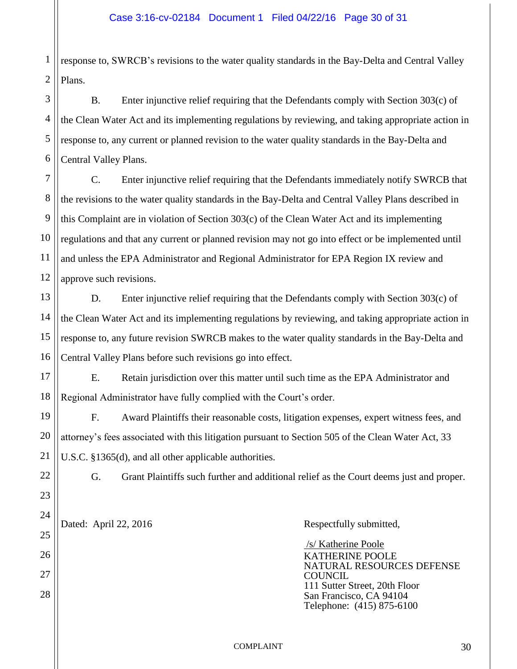1 2 response to, SWRCB's revisions to the water quality standards in the Bay-Delta and Central Valley Plans.

3 4 5 6 B. Enter injunctive relief requiring that the Defendants comply with Section 303(c) of the Clean Water Act and its implementing regulations by reviewing, and taking appropriate action in response to, any current or planned revision to the water quality standards in the Bay-Delta and Central Valley Plans.

7 8 9 10 11 12 C. Enter injunctive relief requiring that the Defendants immediately notify SWRCB that the revisions to the water quality standards in the Bay-Delta and Central Valley Plans described in this Complaint are in violation of Section 303(c) of the Clean Water Act and its implementing regulations and that any current or planned revision may not go into effect or be implemented until and unless the EPA Administrator and Regional Administrator for EPA Region IX review and approve such revisions.

13 14 15 16 D. Enter injunctive relief requiring that the Defendants comply with Section 303(c) of the Clean Water Act and its implementing regulations by reviewing, and taking appropriate action in response to, any future revision SWRCB makes to the water quality standards in the Bay-Delta and Central Valley Plans before such revisions go into effect.

17 18 E. Retain jurisdiction over this matter until such time as the EPA Administrator and Regional Administrator have fully complied with the Court's order.

F. Award Plaintiffs their reasonable costs, litigation expenses, expert witness fees, and attorney's fees associated with this litigation pursuant to Section 505 of the Clean Water Act, 33 U.S.C. §1365(d), and all other applicable authorities.

19

20

21

22

23

24

25

26

27

28

G. Grant Plaintiffs such further and additional relief as the Court deems just and proper.

Dated: April 22, 2016 Respectfully submitted,

 /s/ Katherine Poole KATHERINE POOLE NATURAL RESOURCES DEFENSE **COUNCIL** 111 Sutter Street, 20th Floor San Francisco, CA 94104 Telephone: (415) 875-6100